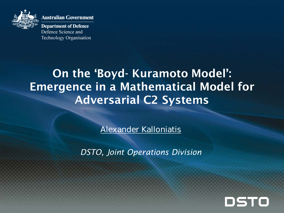

Australian Government

**Department of Defence** Defence Science and Technology Organisation

# On the 'Boyd- Kuramoto Model': Emergence in a Mathematical Model for Adversarial C2 Systems

Alexander Kalloniatis

*DSTO, Joint Operations Division*

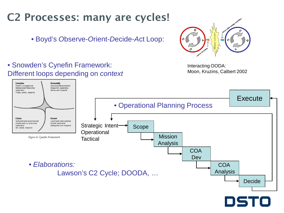

## C2 Processes: many are cycles!

• Boyd's *O*bserve-*O*rient-*D*ecide-*A*ct Loop:

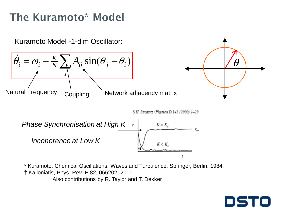## The Kuramoto\* Model



\* Kuramoto, Chemical Oscillations, Waves and Turbulence, Springer, Berlin, 1984; † Kalloniatis, Phys. Rev. E 82, 066202, 2010 Also contributions by R. Taylor and T. Dekker

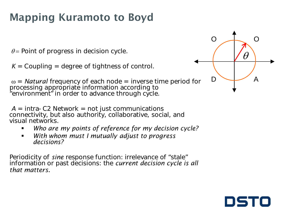## Mapping Kuramoto to Boyd

 $\theta$ = Point of progress in decision cycle.

*K* = Coupling = degree of tightness of control.

ω = *Natural* frequency of each node = inverse time period for processing appropriate information according to "environment" in order to advance through cycle.

 $A =$  intra-C2 Network  $=$  not just communications connectivity, but also authority, collaborative, social, and visual networks.

- *Who are my points of reference for my decision cycle?*
- *With whom must I mutually adjust to progress decisions?*

Periodicity of *sine* response function: irrelevance of "stale" information or past decisions: the *current decision cycle is all that matters*.



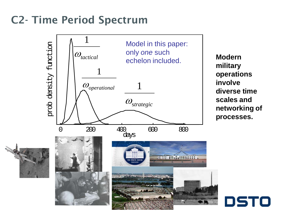## C2- Time Period Spectrum



**Modern military operations involve diverse time scales and networking of processes.**

DSTO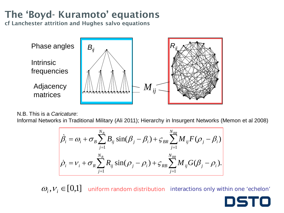## The 'Boyd- Kuramoto' equations

cf Lanchester attrition and Hughes salvo equations



#### N.B. This is a *Caricature*:

Informal Networks in Traditional Military (Ali 2011); Hierarchy in Insurgent Networks (Memon et al 2008)

$$
\hat{\beta}_i = \omega_i + \sigma_B \sum_{j=1}^{N_B} B_{ij} \sin(\beta_j - \beta_i) + \varsigma_{BR} \sum_{j=1}^{N_{BR}} M_{ij} F(\rho_j - \beta_i)
$$

$$
\hat{\rho}_i = \nu_i + \sigma_R \sum_{j=1}^{N_B} R_{ij} \sin(\rho_j - \rho_i) + \varsigma_{RB} \sum_{j=1}^{N_{BR}} M_{ij} G(\beta_j - \rho_i).
$$

 $\omega_i, v_j \in [0,1]$  uniform random distribution interactions only within one 'echelon'

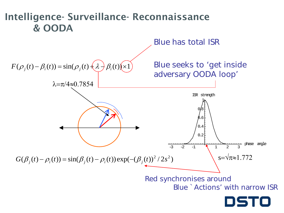## Intelligence- Surveillance- Reconnaissance & OODA



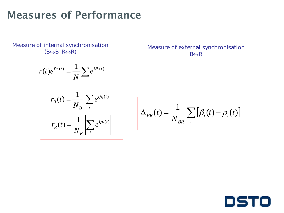## Measures of Performance

Measure of internal synchronisation<br>( $B \leftrightarrow B$ ,  $R \leftrightarrow R$ )

$$
r(t)e^{i\Psi(t)} = \frac{1}{N}\sum_{i}e^{i\theta_i(t)}
$$

Measure of external synchronisation B↔R

$$
r_B(t) = \frac{1}{N_B} \left| \sum_i e^{i\beta_i(t)} \right|
$$

$$
r_R(t) = \frac{1}{N_R} \left| \sum_i e^{i\rho_i(t)} \right|
$$

$$
\Delta_{BR}(t) = \frac{1}{N_{BR}} \sum_{i} \left[ \beta_i(t) - \rho_i(t) \right]
$$

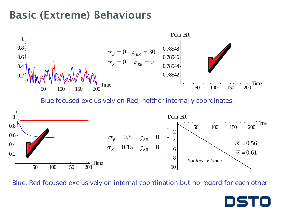## Basic (Extreme) Behaviours



Blue focused exclusively on Red; neither internally coordinates.



Blue, Red focused exclusively on internal coordination but no regard for each other

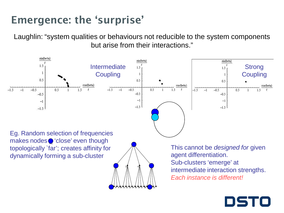## Emergence: the 'surprise'

Laughlin: "system qualities or behaviours not reducible to the system components but arise from their interactions."



 $\frac{1}{2}$  6  $\frac{1}{2}$  8  $\frac{1}{2}$  9 10 11 12 13 14 15 16 17 18 1 $\frac{1}{2}$  21

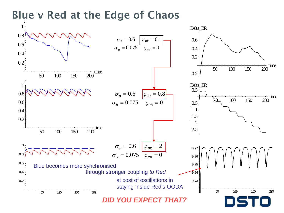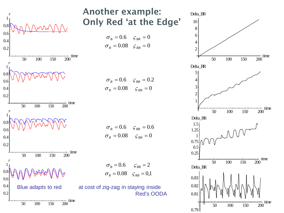

### Another example: Only Red 'at the Edge'

 $\sigma_R = 0.08$   $\varsigma_{RB} = 0$  $\sigma_B = 0.6$   $\varsigma_{BR} = 0$ 

$$
\sigma_B = 0.6 \quad \varsigma_{BR} = 0.2
$$

$$
\sigma_R = 0.08 \quad \varsigma_{RB} = 0
$$

$$
\sigma_B = 0.6 \quad \varsigma_{BR} = 0.6
$$

$$
\sigma_R = 0.08 \quad \varsigma_{RB} = 0
$$

 $\sigma_R = 0.08$   $\sigma_{RB} = 0.1$  $\sigma_B = 0.6$   $\varsigma_{BR} = 2$